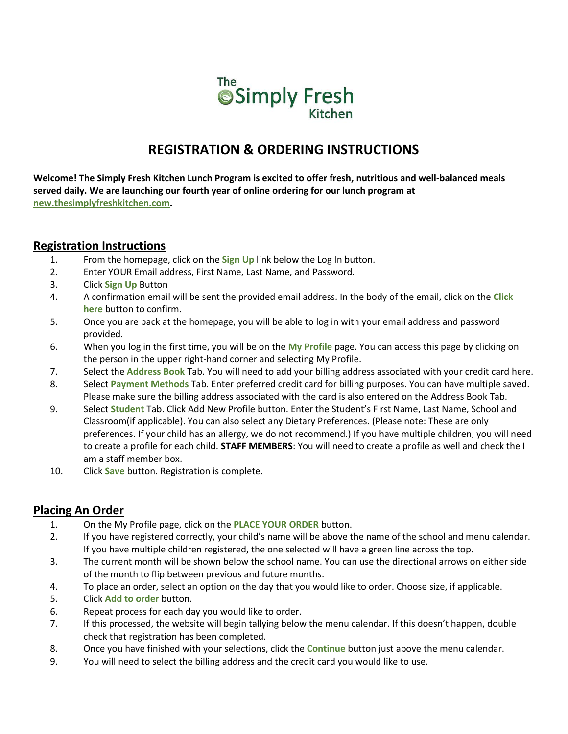

# **REGISTRATION & ORDERING INSTRUCTIONS**

**Welcome! The Simply Fresh Kitchen Lunch Program is excited to offer fresh, nutritious and well-balanced meals served daily. We are launching our fourth year of online ordering for our lunch program at [new.thesimplyfreshkitchen.com.](https://new.thesimplyfreshkitchen.com/)** 

### **Registration Instructions**

- 1. From the homepage, click on the **Sign Up** link below the Log In button.
- 2. Enter YOUR Email address, First Name, Last Name, and Password.
- 3. Click **Sign Up** Button
- 4. A confirmation email will be sent the provided email address. In the body of the email, click on the **Click here** button to confirm.
- 5. Once you are back at the homepage, you will be able to log in with your email address and password provided.
- 6. When you log in the first time, you will be on the **My Profile** page. You can access this page by clicking on the person in the upper right-hand corner and selecting My Profile.
- 7. Select the **Address Book** Tab. You will need to add your billing address associated with your credit card here.
- 8. Select **Payment Methods** Tab. Enter preferred credit card for billing purposes. You can have multiple saved. Please make sure the billing address associated with the card is also entered on the Address Book Tab.
- 9. Select **Student** Tab. Click Add New Profile button. Enter the Student's First Name, Last Name, School and Classroom(if applicable). You can also select any Dietary Preferences. (Please note: These are only preferences. If your child has an allergy, we do not recommend.) If you have multiple children, you will need to create a profile for each child. **STAFF MEMBERS**: You will need to create a profile as well and check the I am a staff member box.
- 10. Click **Save** button. Registration is complete.

## **Placing An Order**

- 1. On the My Profile page, click on the **PLACE YOUR ORDER** button.
- 2. If you have registered correctly, your child's name will be above the name of the school and menu calendar. If you have multiple children registered, the one selected will have a green line across the top.
- 3. The current month will be shown below the school name. You can use the directional arrows on either side of the month to flip between previous and future months.
- 4. To place an order, select an option on the day that you would like to order. Choose size, if applicable.
- 5. Click **Add to order** button.
- 6. Repeat process for each day you would like to order.
- 7. If this processed, the website will begin tallying below the menu calendar. If this doesn't happen, double check that registration has been completed.
- 8. Once you have finished with your selections, click the **Continue** button just above the menu calendar.
- 9. You will need to select the billing address and the credit card you would like to use.